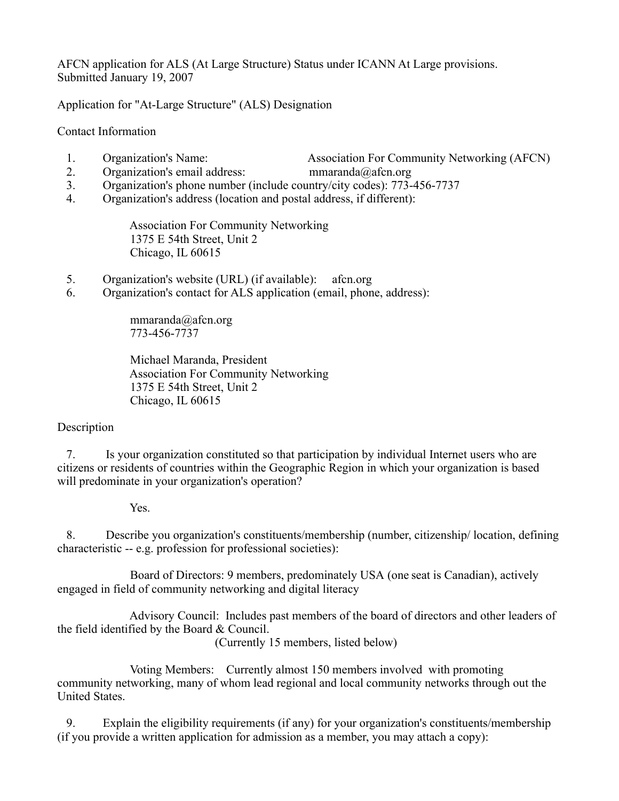AFCN application for ALS (At Large Structure) Status under ICANN At Large provisions. Submitted January 19, 2007

Application for "At-Large Structure" (ALS) Designation

Contact Information

- 1. Organization's Name: Association For Community Networking (AFCN)
- 2. Organization's email address: mmaranda@afcn.org
- 3. Organization's phone number (include country/city codes): 773-456-7737
- 4. Organization's address (location and postal address, if different):

 Association For Community Networking 1375 E 54th Street, Unit 2 Chicago, IL 60615

- 5. Organization's website (URL) (if available): afcn.org
- 6. Organization's contact for ALS application (email, phone, address):

 mmaranda@afcn.org 773-456-7737

 Michael Maranda, President Association For Community Networking 1375 E 54th Street, Unit 2 Chicago, IL 60615

## Description

 7. Is your organization constituted so that participation by individual Internet users who are citizens or residents of countries within the Geographic Region in which your organization is based will predominate in your organization's operation?

Yes.

 8. Describe you organization's constituents/membership (number, citizenship/ location, defining characteristic -- e.g. profession for professional societies):

 Board of Directors: 9 members, predominately USA (one seat is Canadian), actively engaged in field of community networking and digital literacy

 Advisory Council: Includes past members of the board of directors and other leaders of the field identified by the Board & Council.

(Currently 15 members, listed below)

 Voting Members: Currently almost 150 members involved with promoting community networking, many of whom lead regional and local community networks through out the United States.

 9. Explain the eligibility requirements (if any) for your organization's constituents/membership (if you provide a written application for admission as a member, you may attach a copy):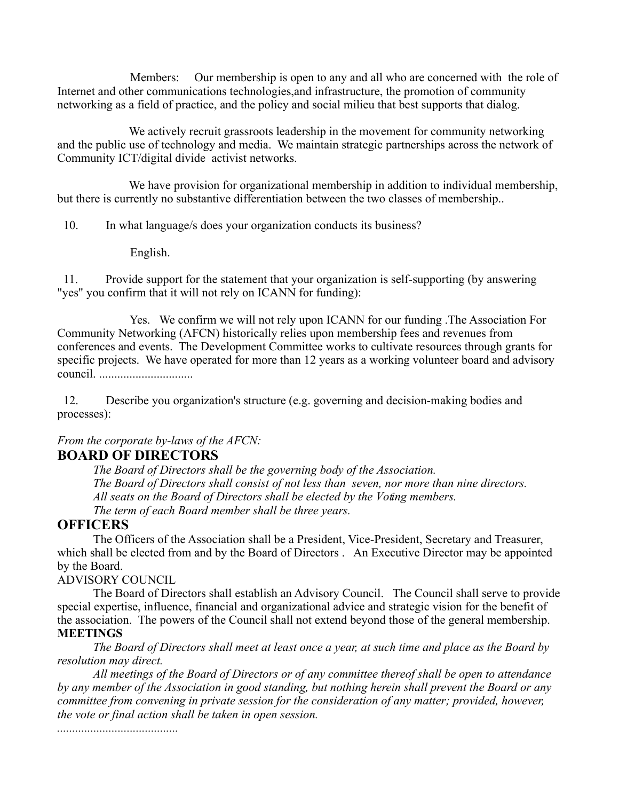Members: Our membership is open to any and all who are concerned with the role of Internet and other communications technologies,and infrastructure, the promotion of community networking as a field of practice, and the policy and social milieu that best supports that dialog.

We actively recruit grassroots leadership in the movement for community networking and the public use of technology and media. We maintain strategic partnerships across the network of Community ICT/digital divide activist networks.

We have provision for organizational membership in addition to individual membership, but there is currently no substantive differentiation between the two classes of membership..

10. In what language/s does your organization conducts its business?

English.

 11. Provide support for the statement that your organization is self-supporting (by answering "yes" you confirm that it will not rely on ICANN for funding):

 Yes. We confirm we will not rely upon ICANN for our funding .The Association For Community Networking (AFCN) historically relies upon membership fees and revenues from conferences and events. The Development Committee works to cultivate resources through grants for specific projects. We have operated for more than 12 years as a working volunteer board and advisory council. ...............................

 12. Describe you organization's structure (e.g. governing and decision-making bodies and processes):

*From the corporate by-laws of the AFCN:*

## **BOARD OF DIRECTORS**

*The Board of Directors shall be the governing body of the Association. The Board of Directors shall consist of not less than seven, nor more than nine directors. All seats on the Board of Directors shall be elected by the Voting members. The term of each Board member shall be three years.* 

## **OFFICERS**

The Officers of the Association shall be a President, Vice-President, Secretary and Treasurer, which shall be elected from and by the Board of Directors . An Executive Director may be appointed by the Board.

## ADVISORY COUNCIL

The Board of Directors shall establish an Advisory Council. The Council shall serve to provide special expertise, influence, financial and organizational advice and strategic vision for the benefit of the association. The powers of the Council shall not extend beyond those of the general membership. **MEETINGS**

*The Board of Directors shall meet at least once a year, at such time and place as the Board by resolution may direct.*

*All meetings of the Board of Directors or of any committee thereof shall be open to attendance by any member of the Association in good standing, but nothing herein shall prevent the Board or any committee from convening in private session for the consideration of any matter; provided, however, the vote or final action shall be taken in open session.*

*........................................*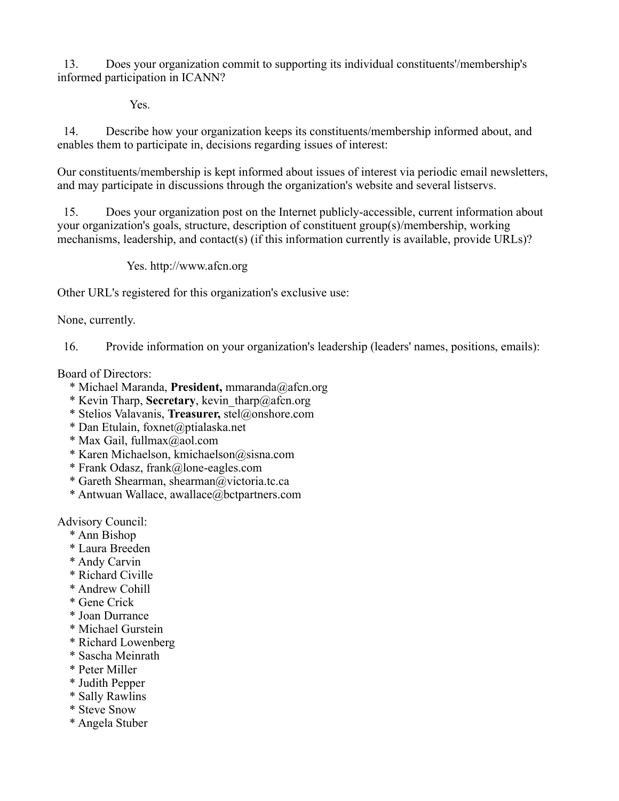13. Does your organization commit to supporting its individual constituents'/membership's informed participation in ICANN?

Yes.

 14. Describe how your organization keeps its constituents/membership informed about, and enables them to participate in, decisions regarding issues of interest:

Our constituents/membership is kept informed about issues of interest via periodic email newsletters, and may participate in discussions through the organization's website and several listservs.

 15. Does your organization post on the Internet publicly-accessible, current information about your organization's goals, structure, description of constituent group(s)/membership, working mechanisms, leadership, and contact(s) (if this information currently is available, provide URLs)?

Yes. http://www.afcn.org

Other URL's registered for this organization's exclusive use:

None, currently.

16. Provide information on your organization's leadership (leaders' names, positions, emails):

Board of Directors:

- \* Michael Maranda, **President,** mmaranda@afcn.org
- \* Kevin Tharp, **Secretary**, kevin\_tharp@afcn.org
- \* Stelios Valavanis, **Treasurer,** stel@onshore.com
- \* Dan Etulain, foxnet@ptialaska.net
- \* Max Gail, fullmax@aol.com
- \* Karen Michaelson, kmichaelson@sisna.com
- \* Frank Odasz, frank@lone-eagles.com
- \* Gareth Shearman, shearman@victoria.tc.ca
- \* Antwuan Wallace, awallace@bctpartners.com

Advisory Council:

- \* Ann Bishop
- \* Laura Breeden
- \* Andy Carvin
- \* Richard Civille
- \* Andrew Cohill
- \* Gene Crick
- \* Joan Durrance
- \* Michael Gurstein
- \* Richard Lowenberg
- \* Sascha Meinrath
- \* Peter Miller
- \* Judith Pepper
- \* Sally Rawlins
- \* Steve Snow
- \* Angela Stuber